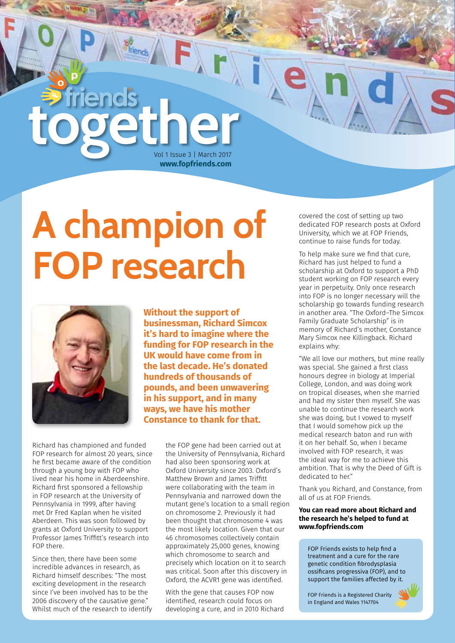# <sup>o</sup> <sup>p</sup> **to get a** | March 2017 **www.fopfriends.com**

# **A champion of FOP research**



**Without the support of businessman, Richard Simcox it's hard to imagine where the funding for FOP research in the UK would have come from in the last decade. He's donated hundreds of thousands of pounds, and been unwavering in his support, and in many ways, we have his mother Constance to thank for that.** 

Richard has championed and funded FOP research for almost 20 years, since he first became aware of the condition through a young boy with FOP who lived near his home in Aberdeenshire. Richard first sponsored a fellowship in FOP research at the University of Pennsylvania in 1999, after having met Dr Fred Kaplan when he visited Aberdeen. This was soon followed by grants at Oxford University to support Professor James Triffitt's research into FOP there.

Since then, there have been some incredible advances in research, as Richard himself describes: "The most exciting development in the research since I've been involved has to be the 2006 discovery of the causative gene." Whilst much of the research to identify the FOP gene had been carried out at the University of Pennsylvania, Richard had also been sponsoring work at Oxford University since 2003. Oxford's Matthew Brown and James Triffitt were collaborating with the team in Pennsylvania and narrowed down the mutant gene's location to a small region on chromosome 2. Previously it had been thought that chromosome 4 was the most likely location. Given that our 46 chromosomes collectively contain approximately 25,000 genes, knowing which chromosome to search and precisely which location on it to search was critical. Soon after this discovery in Oxford, the ACVR1 gene was identified.

With the gene that causes FOP now identified, research could focus on developing a cure, and in 2010 Richard covered the cost of setting up two dedicated FOP research posts at Oxford University, which we at FOP Friends, continue to raise funds for today.

To help make sure we find that cure, Richard has just helped to fund a scholarship at Oxford to support a PhD student working on FOP research every year in perpetuity. Only once research into FOP is no longer necessary will the scholarship go towards funding research in another area. "The Oxford–The Simcox Family Graduate Scholarship" is in memory of Richard's mother, Constance Mary Simcox nee Killingback. Richard explains why:

"We all love our mothers, but mine really was special. She gained a first class honours degree in biology at Imperial College, London, and was doing work on tropical diseases, when she married and had my sister then myself. She was unable to continue the research work she was doing, but I vowed to myself that I would somehow pick up the medical research baton and run with it on her behalf. So, when I became involved with FOP research, it was the ideal way for me to achieve this ambition. That is why the Deed of Gift is dedicated to her."

Thank you Richard, and Constance, from all of us at FOP Friends.

#### **You can read more about Richard and the research he's helped to fund at www.fopfriends.com**

FOP Friends exists to help find a treatment and a cure for the rare genetic condition fibrodysplasia ossificans progressiva (FOP), and to support the families affected by it.

FOP Friends is a Registered Charity in England and Wales 1147704

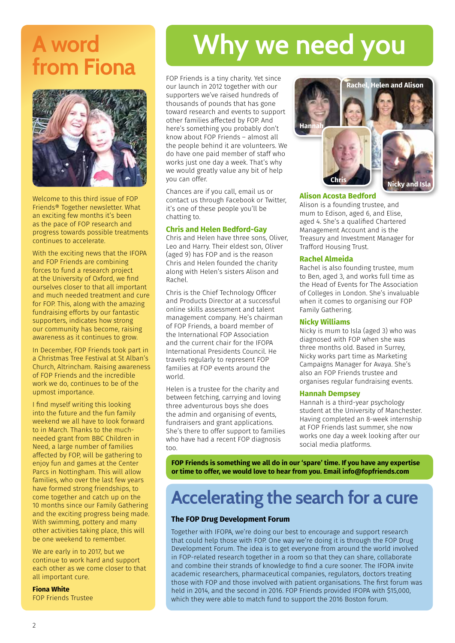# **A word from Fiona**



Welcome to this third issue of FOP Friends® Together newsletter. What an exciting few months it's been as the pace of FOP research and progress towards possible treatments continues to accelerate.

With the exciting news that the IFOPA and FOP Friends are combining forces to fund a research project at the University of Oxford, we find ourselves closer to that all important and much needed treatment and cure for FOP. This, along with the amazing fundraising efforts by our fantastic supporters, indicates how strong our community has become, raising awareness as it continues to grow.

In December, FOP Friends took part in a Christmas Tree Festival at St Alban's Church, Altrincham. Raising awareness of FOP Friends and the incredible work we do, continues to be of the upmost importance.

I find myself writing this looking into the future and the fun family weekend we all have to look forward to in March. Thanks to the muchneeded grant from BBC Children in Need, a large number of families affected by FOP, will be gathering to enjoy fun and games at the Center Parcs in Nottingham. This will allow families, who over the last few years have formed strong friendships, to come together and catch up on the 10 months since our Family Gathering and the exciting progress being made. With swimming, pottery and many other activities taking place, this will be one weekend to remember.

We are early in to 2017, but we continue to work hard and support each other as we come closer to that all important cure.

# **Fiona White**

FOP Friends Trustee

# **Why we need you**

FOP Friends is a tiny charity. Yet since our launch in 2012 together with our supporters we've raised hundreds of thousands of pounds that has gone toward research and events to support other families affected by FOP. And here's something you probably don't know about FOP Friends – almost all the people behind it are volunteers. We do have one paid member of staff who works just one day a week. That's why we would greatly value any bit of help you can offer.

Chances are if you call, email us or contact us through Facebook or Twitter, it's one of these people you'll be chatting to.

### **Chris and Helen Bedford-Gay**

Chris and Helen have three sons, Oliver, Leo and Harry. Their eldest son, Oliver (aged 9) has FOP and is the reason Chris and Helen founded the charity along with Helen's sisters Alison and Rachel.

Chris is the Chief Technology Officer and Products Director at a successful online skills assessment and talent management company. He's chairman of FOP Friends, a board member of the International FOP Association and the current chair for the IFOPA International Presidents Council. He travels regularly to represent FOP families at FOP events around the world.

Helen is a trustee for the charity and between fetching, carrying and loving three adventurous boys she does the admin and organising of events, fundraisers and grant applications. She's there to offer support to families who have had a recent FOP diagnosis too.



# **Alison Acosta Bedford**

Alison is a founding trustee, and mum to Edison, aged 6, and Elise, aged 4. She's a qualified Chartered Management Account and is the Treasury and Investment Manager for Trafford Housing Trust.

# **Rachel Almeida**

Rachel is also founding trustee, mum to Ben, aged 3, and works full time as the Head of Events for The Association of Colleges in London. She's invaluable when it comes to organising our FOP Family Gathering.

# **Nicky Williams**

Nicky is mum to Isla (aged 3) who was diagnosed with FOP when she was three months old. Based in Surrey, Nicky works part time as Marketing Campaigns Manager for Avaya. She's also an FOP Friends trustee and organises regular fundraising events.

# **Hannah Dempsey**

Hannah is a third-year psychology student at the University of Manchester. Having completed an 8-week internship at FOP Friends last summer, she now works one day a week looking after our social media platforms.

**FOP Friends is something we all do in our 'spare' time. If you have any expertise or time to offer, we would love to hear from you. Email info@fopfriends.com**

# **Accelerating the search for a cure**

# **The FOP Drug Development Forum**

Together with IFOPA, we're doing our best to encourage and support research that could help those with FOP. One way we're doing it is through the FOP Drug Development Forum. The idea is to get everyone from around the world involved in FOP-related research together in a room so that they can share, collaborate and combine their strands of knowledge to find a cure sooner. The IFOPA invite academic researchers, pharmaceutical companies, regulators, doctors treating those with FOP and those involved with patient organisations. The first forum was held in 2014, and the second in 2016. FOP Friends provided IFOPA with \$15,000, which they were able to match fund to support the 2016 Boston forum.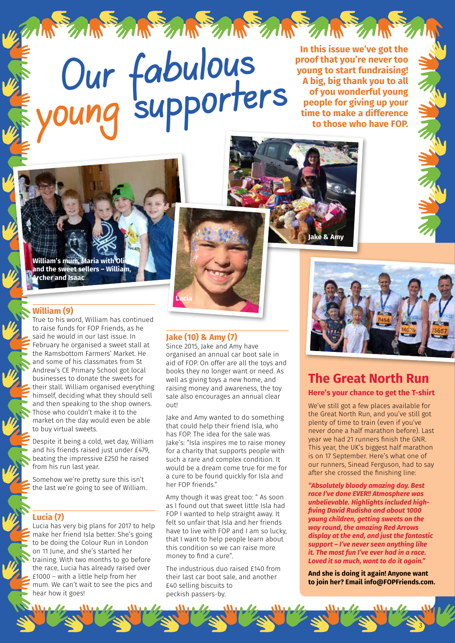# MARY MARY MARY SAM Our fabulous

**In this issue we've got the proof that you're never too young to start fundraising! A big, big thank you to all of you wonderful young people for giving up your time to make a difference to those who have FOP.** 



**William's mum, Maria with Oli and the sweet sellers – William, Archer and Isaac**

# **William (9)**

True to his word, William has continued to raise funds for FOP Friends, as he said he would in our last issue. In February he organised a sweet stall at the Ramsbottom Farmers' Market. He and some of his classmates from St Andrew's CE Primary School got local businesses to donate the sweets for their stall. William organised everything himself, deciding what they should sell and then speaking to the shop owners. Those who couldn't make it to the market on the day would even be able to buy virtual sweets.

Despite it being a cold, wet day, William and his friends raised just under £479, beating the impressive £250 he raised from his run last year.

Somehow we're pretty sure this isn't the last we're going to see of William.

# **Lucia (7)**

Lucia has very big plans for 2017 to help make her friend Isla better. She's going to be doing the Colour Run in London on 11 June, and she's started her training. With two months to go before the race, Lucia has already raised over £1000 – with a little help from her mum. We can't wait to see the pics and hear how it goes!

# **Jake (10) & Amy (7)**

**Lucia**

Since 2015, Jake and Amy have organised an annual car boot sale in aid of FOP. On offer are all the toys and books they no longer want or need. As well as giving toys a new home, and raising money and awareness, the toy sale also encourages an annual clear out!

Jake and Amy wanted to do something that could help their friend Isla, who has FOP. The idea for the sale was Jake's: "Isla inspires me to raise money for a charity that supports people with such a rare and complex condition. It would be a dream come true for me for a cure to be found quickly for Isla and her FOP friends."

Amy though it was great too: " As soon as I found out that sweet little Isla had FOP I wanted to help straight away. It felt so unfair that Isla and her friends have to live with FOP and I am so lucky, that I want to help people learn about this condition so we can raise more money to find a cure".

The industrious duo raised £140 from their last car boot sale, and another £40 selling biscuits to peckish passers-by.



# **The Great North Run Here's your chance to get the T-shirt**

We've still got a few places available for the Great North Run, and you've still got plenty of time to train (even if you've never done a half marathon before). Last year we had 21 runners finish the GNR. This year, the UK's biggest half marathon is on 17 September. Here's what one of our runners, Sinead Ferguson, had to say after she crossed the finishing line:

*"Absolutely bloody amazing day. Best race I've done EVER!! Atmosphere was unbelievable. Highlights included highfiving David Rudisha and about 1000 young children, getting sweets on the way round, the amazing Red Arrows display at the end, and just the fantastic support – I've never seen anything like it. The most fun I've ever had in a race. Loved it so much, want to do it again."* 

**And she is doing it again! Anyone want to join her? Email info@FOPFriends.com.**

3